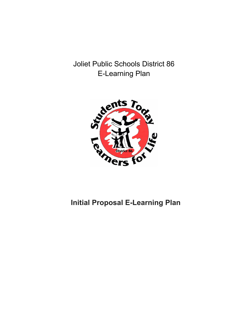Joliet Public Schools District 86 E-Learning Plan



# **Initial Proposal E-Learning Plan**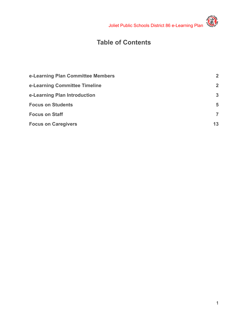

# **RATION**

# **Table of Contents**

<span id="page-1-0"></span>

| e-Learning Plan Committee Members | $\overline{2}$ |
|-----------------------------------|----------------|
| e-Learning Committee Timeline     | $\overline{2}$ |
| e-Learning Plan Introduction      | $\mathbf{3}$   |
| <b>Focus on Students</b>          | 5              |
| <b>Focus on Staff</b>             | $\overline{7}$ |
| <b>Focus on Caregivers</b>        | 13             |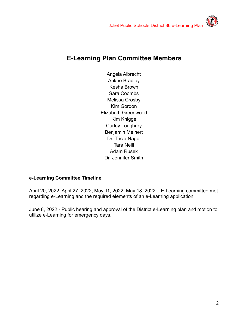## **E-Learning Plan Committee Members**

Angela Albrecht Ankhe Bradley Kesha Brown Sara Coombs Melissa Crosby Kim Gordon Elizabeth Greenwood Kim Knigge Carley Loughrey Benjamin Meinert Dr. Tricia Nagel Tara Neill Adam Rusek Dr. Jennifer Smith

#### <span id="page-2-0"></span>**e-Learning Committee Timeline**

April 20, 2022, April 27, 2022, May 11, 2022, May 18, 2022 – E-Learning committee met regarding e-Learning and the required elements of an e-Learning application.

June 8, 2022 - Public hearing and approval of the District e-Learning plan and motion to utilize e-Learning for emergency days.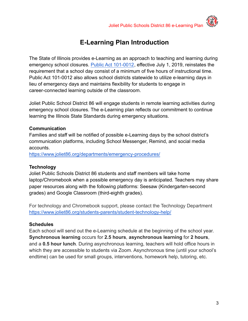# **E-Learning Plan Introduction**

The State of Illinois provides e-Learning as an approach to teaching and learning during emergency school closures. [Public Act 101-0012](http://www.ilga.gov/legislation/publicacts/101/101-0012.htm), effective July 1, 2019, reinstates the requirement that a school day consist of a minimum of five hours of instructional time. Public Act 101-0012 also allows school districts statewide to utilize e-learning days in lieu of emergency days and maintains flexibility for students to engage in career-connected learning outside of the classroom.

Joliet Public School District 86 will engage students in remote learning activities during emergency school closures. The e-Learning plan reflects our commitment to continue learning the Illinois State Standards during emergency situations.

#### **Communication**

Families and staff will be notified of possible e-Learning days by the school district's communication platforms, including School Messenger, Remind, and social media accounts.

<https://www.joliet86.org/departments/emergency-procedures/>

#### **Technology**

Joliet Public Schools District 86 students and staff members will take home laptop/Chromebook when a possible emergency day is anticipated. Teachers may share paper resources along with the following platforms: Seesaw (Kindergarten-second grades) and Google Classroom (third-eighth grades).

For technology and Chromebook support, please contact the Technology Department [https://www.joliet86.org/students-parents/student-technology-help/](https://www.joliet86.org/departments/technology/)

#### **Schedules**

Each school will send out the e-Learning schedule at the beginning of the school year. **Synchronous learning** occurs for **2.5 hours**, **asynchronous learning** for **2 hours**, and a **0.5 hour lunch**. During asynchronous learning, teachers will hold office hours in which they are accessible to students via Zoom. Asynchronous time (until your school's endtime) can be used for small groups, interventions, homework help, tutoring, etc.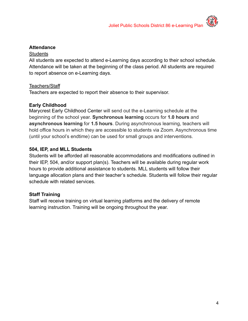

#### **Attendance**

#### **Students**

All students are expected to attend e-Learning days according to their school schedule. Attendance will be taken at the beginning of the class period. All students are required to report absence on e-Learning days.

#### Teachers/Staff

Teachers are expected to report their absence to their supervisor.

#### **Early Childhood**

Marycrest Early Childhood Center will send out the e-Learning schedule at the beginning of the school year. **Synchronous learning** occurs for **1.0 hours** and **asynchronous learning** for **1.5 hours**. During asynchronous learning, teachers will hold office hours in which they are accessible to students via Zoom. Asynchronous time (until your school's endtime) can be used for small groups and interventions.

#### **504, IEP, and MLL Students**

Students will be afforded all reasonable accommodations and modifications outlined in their IEP, 504, and/or support plan(s). Teachers will be available during regular work hours to provide additional assistance to students. MLL students will follow their language allocation plans and their teacher's schedule. Students will follow their regular schedule with related services.

#### **Staff Training**

Staff will receive training on virtual learning platforms and the delivery of remote learning instruction. Training will be ongoing throughout the year.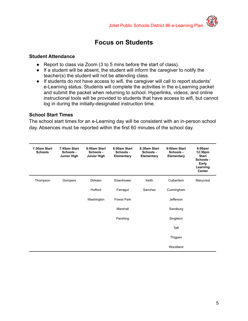

### **Focus on Students**

#### <span id="page-5-0"></span>**Student Attendance**

- Report to class via Zoom (3 to 5 mins before the start of class).
- If a student will be absent, the student will inform the caregiver to notify the teacher(s) the student will not be attending class.
- If students do not have access to wifi, the caregiver will call to report students' e-Learning status. Students will complete the activities in the e-Learning packet and submit the packet when returning to school. Hyperlinks, videos, and online instructional tools will be provided to students that have access to wifi, but cannot log in during the initially-designated instruction time.

#### **School Start Times**

The school start times for an e-Learning day will be consistent with an in-person school day. Absences must be reported within the first 60 minutes of the school day.

| 7:30am Start<br><b>Schools</b> | 7:45am Start<br>Schools -<br><b>Junior High</b> | 8:00am Start<br>Schools -<br>Junior High | 8:00am Start<br>Schools -<br>Elementary | 8:30am Start<br>Schools -<br>Elementary | 9:00am Start<br>Schools -<br>Elementary | 9:00am/<br>12:30pm<br><b>Start</b><br>Schools -<br>Early<br>Learning<br>Center |
|--------------------------------|-------------------------------------------------|------------------------------------------|-----------------------------------------|-----------------------------------------|-----------------------------------------|--------------------------------------------------------------------------------|
| Thompson                       | Gompers                                         | Dirksen                                  | Eisenhower                              | Keith                                   | Culbertson                              | Marycrest                                                                      |
|                                |                                                 | Hufford                                  | Farragut                                | Sanchez                                 | Cunningham                              |                                                                                |
|                                |                                                 | Washington                               | <b>Forest Park</b>                      |                                         | <b>Jefferson</b>                        |                                                                                |
|                                |                                                 |                                          | Marshall                                |                                         | Sandburg                                |                                                                                |
|                                |                                                 |                                          | Pershing                                |                                         | Singleton                               |                                                                                |
|                                |                                                 |                                          |                                         |                                         | Taft                                    |                                                                                |
|                                |                                                 |                                          |                                         |                                         | Thigpen                                 |                                                                                |
|                                |                                                 |                                          |                                         |                                         | Woodland                                |                                                                                |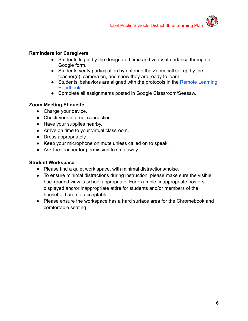#### **Reminders for Caregivers**

- Students log in by the designated time and verify attendance through a Google form.
- Students verify participation by entering the Zoom call set up by the teacher(s), camera on, and show they are ready to learn.
- Students' behaviors are aligned with the protocols in the [Remote Learning](https://drive.google.com/file/d/1kbOmB_tYksdfIqJRewtJULibOCvZCIMJ/view?usp=sharing) [Handbook.](https://drive.google.com/file/d/1kbOmB_tYksdfIqJRewtJULibOCvZCIMJ/view?usp=sharing)
- Complete all assignments posted in Google Classroom/Seesaw.

#### **Zoom Meeting Etiquette**

- Charge your device.
- Check your internet connection.
- Have your supplies nearby.
- Arrive on time to your virtual classroom.
- Dress appropriately.
- Keep your microphone on mute unless called on to speak.
- Ask the teacher for permission to step away.

#### **Student Workspace**

- Please find a quiet work space, with minimal distractions/noise.
- To ensure minimal distractions during instruction, please make sure the visible background view is school appropriate. For example, inappropriate posters displayed and/or inappropriate attire for students and/or members of the household are not acceptable.
- Please ensure the workspace has a hard surface area for the Chromebook and comfortable seating.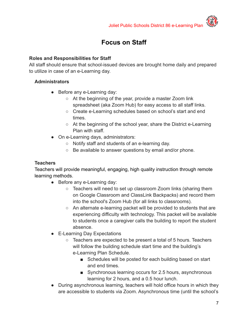# **Focus on Staff**

#### **Roles and Responsibilities for Staff**

All staff should ensure that school-issued devices are brought home daily and prepared to utilize in case of an e-Learning day.

#### **Administrators**

- Before any e-Learning day:
	- At the beginning of the year, provide a master Zoom link spreadsheet (aka Zoom Hub) for easy access to all staff links.
	- Create e-Learning schedules based on school's start and end times.
	- At the beginning of the school year, share the District e-Learning Plan with staff.
- On e-Learning days, administrators:
	- Notify staff and students of an e-learning day.
	- Be available to answer questions by email and/or phone.

#### **Teachers**

Teachers will provide meaningful, engaging, high quality instruction through remote learning methods.

- Before any e-Learning day:
	- Teachers will need to set up classroom Zoom links (sharing them on Google Classroom and ClassLink Backpacks) and record them into the school's Zoom Hub (for all links to classrooms).
	- An alternate e-learning packet will be provided to students that are experiencing difficulty with technology. This packet will be available to students once a caregiver calls the building to report the student absence.
- E-Learning Day Expectations
	- Teachers are expected to be present a total of 5 hours. Teachers will follow the building schedule start time and the building's e-Learning Plan Schedule.
		- Schedules will be posted for each building based on start and end times.
		- Synchronous learning occurs for 2.5 hours, asynchronous learning for 2 hours, and a 0.5 hour lunch.
- During asynchronous learning, teachers will hold office hours in which they are accessible to students via Zoom. Asynchronous time (until the school's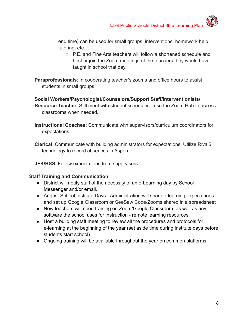end time) can be used for small groups, interventions, homework help, tutoring, etc.

○ P.E. and Fine Arts teachers will follow a shortened schedule and host or join the Zoom meetings of the teachers they would have taught in school that day.

**Paraprofessionals**: In cooperating teacher's zooms and office hours to assist students in small groups

**Social Workers/Psychologist/Counselors/Support Staff/Interventionists/ Resource Teacher**: Still meet with student schedules - use the Zoom Hub to access classrooms when needed.

**Instructional Coaches:** Communicate with supervisors/curriculum coordinators for expectations.

**Clerical**: Communicate with building administrators for expectations. Utilize Rival5 technology to record absences in Aspen.

**JFK/BSS**: Follow expectations from supervisors.

#### **Staff Training and Communication**

- District will notify staff of the necessity of an e-Learning day by School Messenger and/or email.
- August School Institute Days Administration will share e-learning expectations and set up Google Classroom or SeeSaw Code/Zooms shared in a spreadsheet
- New teachers will need training on Zoom/Google Classroom, as well as any software the school uses for instruction - remote learning resources.
- Host a building staff meeting to review all the procedures and protocols for e-learning at the beginning of the year (set aside time during institute days before students start school)
- Ongoing training will be available throughout the year on common platforms.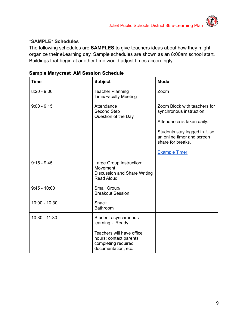#### **\*SAMPLE\* Schedules**

The following schedules are **SAMPLES** to give teachers ideas about how they might organize their eLearning day. Sample schedules are shown as an 8:00am school start. Buildings that begin at another time would adjust times accordingly.

| <b>Time</b>     | <b>Subject</b>                                                                                                                                 | <b>Mode</b>                                                                                                                                                                                       |
|-----------------|------------------------------------------------------------------------------------------------------------------------------------------------|---------------------------------------------------------------------------------------------------------------------------------------------------------------------------------------------------|
| $8:20 - 9:00$   | <b>Teacher Planning</b><br><b>Time/Faculty Meeting</b>                                                                                         | Zoom                                                                                                                                                                                              |
| $9:00 - 9:15$   | Attendance<br>Second Step<br>Question of the Day                                                                                               | Zoom Block with teachers for<br>synchronous instruction.<br>Attendance is taken daily.<br>Students stay logged in. Use<br>an online timer and screen<br>share for breaks.<br><b>Example Timer</b> |
| $9:15 - 9:45$   | Large Group Instruction:<br>Movement<br>Discussion and Share Writing<br><b>Read Aloud</b>                                                      |                                                                                                                                                                                                   |
| $9:45 - 10:00$  | Small Group/<br><b>Breakout Session</b>                                                                                                        |                                                                                                                                                                                                   |
| $10:00 - 10:30$ | <b>Snack</b><br><b>Bathroom</b>                                                                                                                |                                                                                                                                                                                                   |
| 10:30 - 11:30   | Student asynchronous<br>learning - Ready<br>Teachers will have office<br>hours: contact parents,<br>completing required<br>documentation, etc. |                                                                                                                                                                                                   |

#### **Sample Marycrest AM Session Schedule**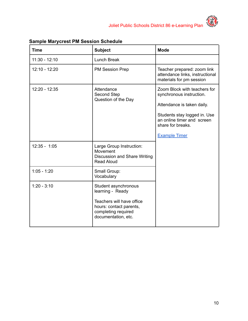



| <b>Time</b>     | <b>Subject</b>                                                                                                                                 | <b>Mode</b>                                                                                                                                                                                       |
|-----------------|------------------------------------------------------------------------------------------------------------------------------------------------|---------------------------------------------------------------------------------------------------------------------------------------------------------------------------------------------------|
| $11:30 - 12:10$ | <b>Lunch Break</b>                                                                                                                             |                                                                                                                                                                                                   |
| $12:10 - 12:20$ | <b>PM Session Prep</b>                                                                                                                         | Teacher prepared: zoom link<br>attendance links, instructional<br>materials for pm session                                                                                                        |
| $12:20 - 12:35$ | Attendance<br>Second Step<br>Question of the Day                                                                                               | Zoom Block with teachers for<br>synchronous instruction.<br>Attendance is taken daily.<br>Students stay logged in. Use<br>an online timer and screen<br>share for breaks.<br><b>Example Timer</b> |
| $12:35 - 1:05$  | Large Group Instruction:<br>Movement<br><b>Discussion and Share Writing</b><br><b>Read Aloud</b>                                               |                                                                                                                                                                                                   |
| $1:05 - 1:20$   | Small Group:<br>Vocabulary                                                                                                                     |                                                                                                                                                                                                   |
| $1:20 - 3:10$   | Student asynchronous<br>learning - Ready<br>Teachers will have office<br>hours: contact parents,<br>completing required<br>documentation, etc. |                                                                                                                                                                                                   |

#### **Sample Marycrest PM Session Schedule**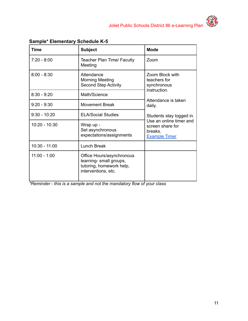| <b>Time</b>     | <b>Subject</b>                                                                                          | <b>Mode</b>                                         |
|-----------------|---------------------------------------------------------------------------------------------------------|-----------------------------------------------------|
| $7:20 - 8:00$   | Teacher Plan Time/ Faculty<br>Meeting                                                                   | Zoom                                                |
| $8:00 - 8:30$   | Attendance<br><b>Morning Meeting</b><br><b>Second Step Activity</b>                                     | Zoom Block with<br>teachers for<br>synchronous      |
| $8:30 - 9:20$   | Math/Science                                                                                            | instruction.<br>Attendance is taken                 |
| $9:20 - 9:30$   | <b>Movement Break</b>                                                                                   |                                                     |
| $9:30 - 10:20$  | <b>ELA/Social Studies</b>                                                                               | Students stay logged in.<br>Use an online timer and |
| $10:20 - 10:30$ | Wrap up -<br>Set asynchronous<br>expectations/assignments                                               |                                                     |
| $10:30 - 11:00$ | <b>Lunch Break</b>                                                                                      |                                                     |
| $11:00 - 1:00$  | Office Hours/asynchronous<br>learning- small groups,<br>tutoring, homework help,<br>interventions, etc. |                                                     |

**Sample\* Elementary Schedule K-5**

*\*Reminder - this is a sample and not the mandatory flow of your class*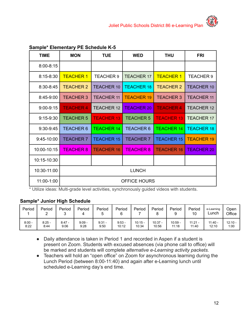| ample* Elementary PE Schedule K-5 |                     |                   |                   |                   |                   |  |  |  |  |
|-----------------------------------|---------------------|-------------------|-------------------|-------------------|-------------------|--|--|--|--|
| <b>TIME</b>                       | <b>MON</b>          | <b>TUE</b>        | <b>WED</b>        | <b>THU</b>        | <b>FRI</b>        |  |  |  |  |
| $8:00 - 8:15$                     |                     |                   |                   |                   |                   |  |  |  |  |
| $8:15 - 8:30$                     | <b>TEACHER 1</b>    | <b>TEACHER 9</b>  | <b>TEACHER 17</b> | <b>TEACHER 1</b>  | <b>TEACHER 9</b>  |  |  |  |  |
| 8:30-8:45                         | <b>TEACHER 2</b>    | <b>TEACHER 10</b> | <b>TEACHER 18</b> | <b>TEACHER 2</b>  | <b>TEACHER 10</b> |  |  |  |  |
| 8:45-9:00                         | <b>TEACHER 3</b>    | <b>TEACHER 11</b> | <b>TEACHER 19</b> | <b>TEACHER 3</b>  | <b>TEACHER 11</b> |  |  |  |  |
| $9:00 - 9:15$                     | <b>TEACHER 4</b>    | <b>TEACHER 12</b> | <b>TEACHER 20</b> | <b>TEACHER 4</b>  | <b>TEACHER 12</b> |  |  |  |  |
| $9:15-9:30$                       | <b>TEACHER 5</b>    | <b>TEACHER 13</b> | <b>TEACHER 5</b>  | <b>TEACHER 13</b> | <b>TEACHER 17</b> |  |  |  |  |
| 9:30-9:45                         | <b>TEACHER 6</b>    | <b>TEACHER 14</b> | <b>TEACHER 6</b>  | <b>TEACHER 14</b> | <b>TEACHER 18</b> |  |  |  |  |
| 9:45-10:00                        | <b>TEACHER 7</b>    | <b>TEACHER 15</b> | <b>TEACHER 7</b>  | <b>TEACHER 15</b> | <b>TEACHER 19</b> |  |  |  |  |
| 10:00-10:15                       | <b>TEACHER 8</b>    | <b>TEACHER 16</b> | <b>TEACHER 8</b>  | <b>TEACHER 16</b> | <b>TEACHER 20</b> |  |  |  |  |
| 10:15-10:30                       |                     |                   |                   |                   |                   |  |  |  |  |
| 10:30-11:00                       | <b>LUNCH</b>        |                   |                   |                   |                   |  |  |  |  |
| 11:00-1:00                        | <b>OFFICE HOURS</b> |                   |                   |                   |                   |  |  |  |  |

#### **Sample\* Elementary PE Schedule K-5**

\* Utilize ideas: Multi-grade level activities, synchronously guided videos with students.

#### **Sample\* Junior High Schedule**

| Period   | Period   | Period   | Period   | Period   | Period   | Period    | Period  | Period  | Period<br>10 | e-Learning<br>Lunch | Open<br>Office |
|----------|----------|----------|----------|----------|----------|-----------|---------|---------|--------------|---------------------|----------------|
| $8:00 -$ | $8:25 -$ | $8:47 -$ | $9:09 -$ | $9:31 -$ | $9:53 -$ | $10:15 -$ | 10:37 - | 10:59 - | $11:21 -$    | $11:40 -$           | $12:10 -$      |
| 8:22     | 8:44     | 9:06     | 9:28     | 9:50     | 10:12    | 10:34     | 10:56   | 11:18   | 11:40        | 12:10               | 1:00           |

- Daily attendance is taken in Period 1 and recorded in Aspen if a student is present on Zoom. Students with excused absences (via phone call to office) will be marked and students will complete *alternative e-Learning activity packets.*
- Teachers will hold an "open office" on Zoom for asynchronous learning during the Lunch Period (between 8:00-11:40) and again after e-Learning lunch until scheduled e-Learning day's end time.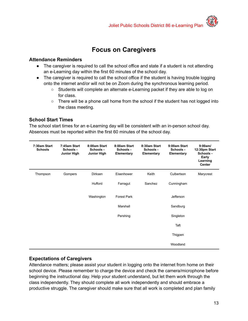### **Focus on Caregivers**

#### <span id="page-13-0"></span>**Attendance Reminders**

- The caregiver is required to call the school office and state if a student is not attending an e-Learning day within the first 60 minutes of the school day.
- The caregiver is required to call the school office if the student is having trouble logging onto the internet and/or will not be on Zoom during the synchronous learning period.
	- Students will complete an alternate e-Learning packet if they are able to log on for class.
	- $\circ$  There will be a phone call home from the school if the student has not logged into the class meeting.

#### **School Start Times**

The school start times for an e-Learning day will be consistent with an in-person school day. Absences must be reported within the first 60 minutes of the school day.

| 7:30am Start<br><b>Schools</b> | 7:45am Start<br>Schools -<br><b>Junior High</b> | 8:00am Start<br>Schools -<br><b>Junior High</b> | 8:00am Start<br>Schools -<br>Elementary | 8:30am Start<br>Schools -<br>Elementary | 9:00am Start<br>Schools -<br>Elementary | 9:00am/<br>12:30pm Start<br>Schools -<br>Early<br>Learning<br><b>Center</b> |
|--------------------------------|-------------------------------------------------|-------------------------------------------------|-----------------------------------------|-----------------------------------------|-----------------------------------------|-----------------------------------------------------------------------------|
| Thompson                       | Gompers                                         | <b>Dirksen</b>                                  | Eisenhower                              | Keith                                   | Culbertson                              | Marycrest                                                                   |
|                                |                                                 | Hufford                                         | Farragut                                | Sanchez                                 | Cunningham                              |                                                                             |
|                                |                                                 | Washington                                      | <b>Forest Park</b>                      |                                         | Jefferson                               |                                                                             |
|                                |                                                 |                                                 | Marshall                                |                                         | Sandburg                                |                                                                             |
|                                |                                                 |                                                 | Pershing                                |                                         | Singleton                               |                                                                             |
|                                |                                                 |                                                 |                                         |                                         | Taft                                    |                                                                             |
|                                |                                                 |                                                 |                                         |                                         | Thigpen                                 |                                                                             |
|                                |                                                 |                                                 |                                         |                                         | Woodland                                |                                                                             |

#### **Expectations of Caregivers**

Attendance matters; please assist your student in logging onto the internet from home on their school device. Please remember to charge the device and check the camera/microphone before beginning the instructional day. Help your student understand, but let them work through the class independently. They should complete all work independently and should embrace a productive struggle. The caregiver should make sure that all work is completed and plan family